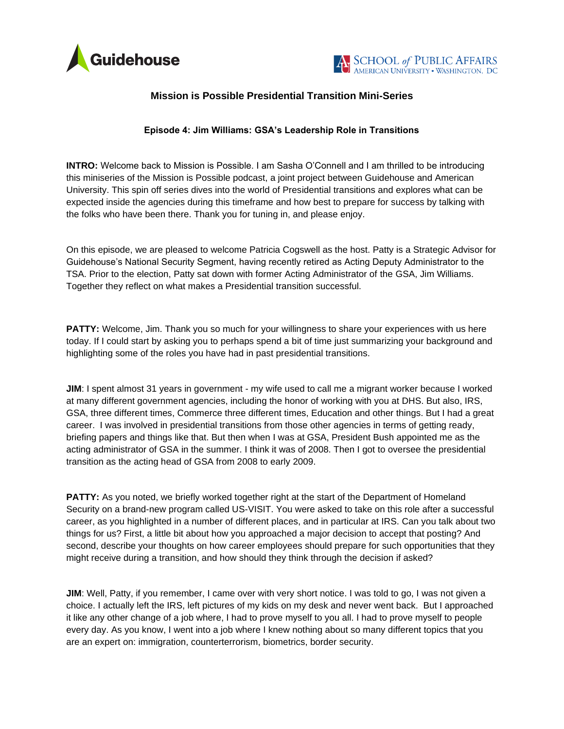



## **Mission is Possible Presidential Transition Mini-Series**

## **Episode 4: Jim Williams: GSA's Leadership Role in Transitions**

**INTRO:** Welcome back to Mission is Possible. I am Sasha O'Connell and I am thrilled to be introducing this miniseries of the Mission is Possible podcast, a joint project between Guidehouse and American University. This spin off series dives into the world of Presidential transitions and explores what can be expected inside the agencies during this timeframe and how best to prepare for success by talking with the folks who have been there. Thank you for tuning in, and please enjoy.

On this episode, we are pleased to welcome Patricia Cogswell as the host. Patty is a Strategic Advisor for Guidehouse's National Security Segment, having recently retired as Acting Deputy Administrator to the TSA. Prior to the election, Patty sat down with former Acting Administrator of the GSA, Jim Williams. Together they reflect on what makes a Presidential transition successful.

**PATTY:** Welcome, Jim. Thank you so much for your willingness to share your experiences with us here today. If I could start by asking you to perhaps spend a bit of time just summarizing your background and highlighting some of the roles you have had in past presidential transitions.

**JIM:** I spent almost 31 years in government - my wife used to call me a migrant worker because I worked at many different government agencies, including the honor of working with you at DHS. But also, IRS, GSA, three different times, Commerce three different times, Education and other things. But I had a great career. I was involved in presidential transitions from those other agencies in terms of getting ready, briefing papers and things like that. But then when I was at GSA, President Bush appointed me as the acting administrator of GSA in the summer. I think it was of 2008. Then I got to oversee the presidential transition as the acting head of GSA from 2008 to early 2009.

**PATTY:** As you noted, we briefly worked together right at the start of the Department of Homeland Security on a brand-new program called US-VISIT. You were asked to take on this role after a successful career, as you highlighted in a number of different places, and in particular at IRS. Can you talk about two things for us? First, a little bit about how you approached a major decision to accept that posting? And second, describe your thoughts on how career employees should prepare for such opportunities that they might receive during a transition, and how should they think through the decision if asked?

**JIM:** Well, Patty, if you remember, I came over with very short notice. I was told to go, I was not given a choice. I actually left the IRS, left pictures of my kids on my desk and never went back. But I approached it like any other change of a job where, I had to prove myself to you all. I had to prove myself to people every day. As you know, I went into a job where I knew nothing about so many different topics that you are an expert on: immigration, counterterrorism, biometrics, border security.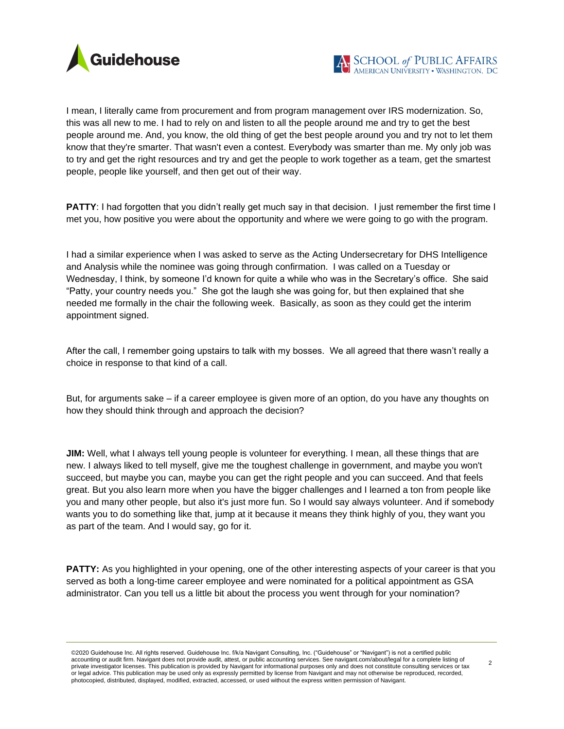

I mean, I literally came from procurement and from program management over IRS modernization. So, this was all new to me. I had to rely on and listen to all the people around me and try to get the best people around me. And, you know, the old thing of get the best people around you and try not to let them know that they're smarter. That wasn't even a contest. Everybody was smarter than me. My only job was to try and get the right resources and try and get the people to work together as a team, get the smartest people, people like yourself, and then get out of their way.

**PATTY:** I had forgotten that you didn't really get much say in that decision. I just remember the first time I met you, how positive you were about the opportunity and where we were going to go with the program.

I had a similar experience when I was asked to serve as the Acting Undersecretary for DHS Intelligence and Analysis while the nominee was going through confirmation. I was called on a Tuesday or Wednesday, I think, by someone I'd known for quite a while who was in the Secretary's office. She said "Patty, your country needs you." She got the laugh she was going for, but then explained that she needed me formally in the chair the following week. Basically, as soon as they could get the interim appointment signed.

After the call, I remember going upstairs to talk with my bosses. We all agreed that there wasn't really a choice in response to that kind of a call.

But, for arguments sake – if a career employee is given more of an option, do you have any thoughts on how they should think through and approach the decision?

**JIM:** Well, what I always tell young people is volunteer for everything. I mean, all these things that are new. I always liked to tell myself, give me the toughest challenge in government, and maybe you won't succeed, but maybe you can, maybe you can get the right people and you can succeed. And that feels great. But you also learn more when you have the bigger challenges and I learned a ton from people like you and many other people, but also it's just more fun. So I would say always volunteer. And if somebody wants you to do something like that, jump at it because it means they think highly of you, they want you as part of the team. And I would say, go for it.

**PATTY:** As you highlighted in your opening, one of the other interesting aspects of your career is that you served as both a long-time career employee and were nominated for a political appointment as GSA administrator. Can you tell us a little bit about the process you went through for your nomination?

©2020 Guidehouse Inc. All rights reserved. Guidehouse Inc. f/k/a Navigant Consulting, Inc. ("Guidehouse" or "Navigant") is not a certified public accounting or audit firm. Navigant does not provide audit, attest, or public accounting services. See navigant.com/about/legal for a complete listing of<br>private investigator licenses. This publication is provided by Naviga or legal advice. This publication may be used only as expressly permitted by license from Navigant and may not otherwise be reproduced, recorded, photocopied, distributed, displayed, modified, extracted, accessed, or used without the express written permission of Navigant.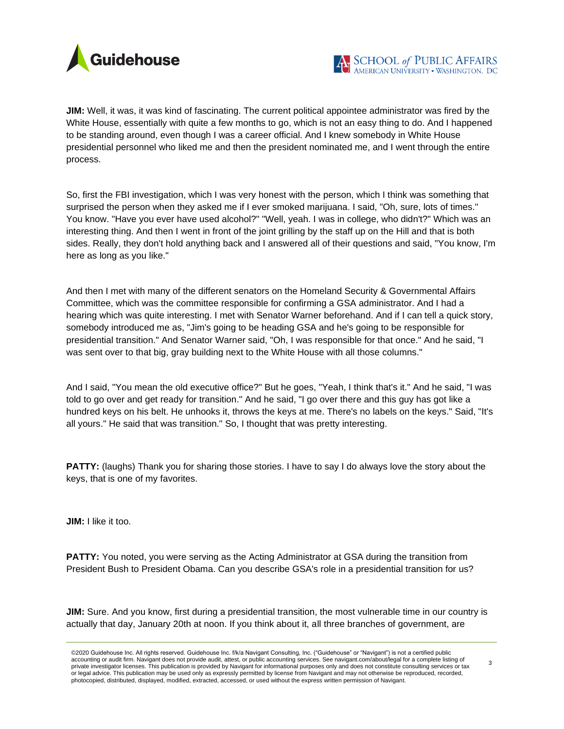

**JIM:** Well, it was, it was kind of fascinating. The current political appointee administrator was fired by the White House, essentially with quite a few months to go, which is not an easy thing to do. And I happened to be standing around, even though I was a career official. And I knew somebody in White House presidential personnel who liked me and then the president nominated me, and I went through the entire process.

So, first the FBI investigation, which I was very honest with the person, which I think was something that surprised the person when they asked me if I ever smoked marijuana. I said, "Oh, sure, lots of times." You know. "Have you ever have used alcohol?" "Well, yeah. I was in college, who didn't?" Which was an interesting thing. And then I went in front of the joint grilling by the staff up on the Hill and that is both sides. Really, they don't hold anything back and I answered all of their questions and said, "You know, I'm here as long as you like."

And then I met with many of the different senators on the Homeland Security & Governmental Affairs Committee, which was the committee responsible for confirming a GSA administrator. And I had a hearing which was quite interesting. I met with Senator Warner beforehand. And if I can tell a quick story, somebody introduced me as, "Jim's going to be heading GSA and he's going to be responsible for presidential transition." And Senator Warner said, "Oh, I was responsible for that once." And he said, "I was sent over to that big, gray building next to the White House with all those columns."

And I said, "You mean the old executive office?" But he goes, "Yeah, I think that's it." And he said, "I was told to go over and get ready for transition." And he said, "I go over there and this guy has got like a hundred keys on his belt. He unhooks it, throws the keys at me. There's no labels on the keys." Said, "It's all yours." He said that was transition." So, I thought that was pretty interesting.

**PATTY:** (laughs) Thank you for sharing those stories. I have to say I do always love the story about the keys, that is one of my favorites.

**JIM:** I like it too.

**PATTY:** You noted, you were serving as the Acting Administrator at GSA during the transition from President Bush to President Obama. Can you describe GSA's role in a presidential transition for us?

**JIM:** Sure. And you know, first during a presidential transition, the most vulnerable time in our country is actually that day, January 20th at noon. If you think about it, all three branches of government, are

<sup>©2020</sup> Guidehouse Inc. All rights reserved. Guidehouse Inc. f/k/a Navigant Consulting, Inc. ("Guidehouse" or "Navigant") is not a certified public accounting or audit firm. Navigant does not provide audit, attest, or public accounting services. See navigant.com/about/legal for a complete listing of<br>private investigator licenses. This publication is provided by Naviga or legal advice. This publication may be used only as expressly permitted by license from Navigant and may not otherwise be reproduced, recorded, photocopied, distributed, displayed, modified, extracted, accessed, or used without the express written permission of Navigant.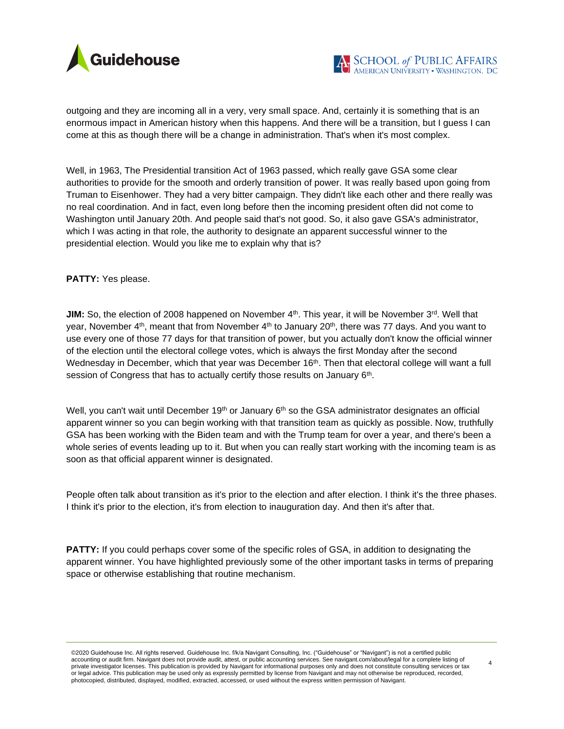

outgoing and they are incoming all in a very, very small space. And, certainly it is something that is an enormous impact in American history when this happens. And there will be a transition, but I guess I can come at this as though there will be a change in administration. That's when it's most complex.

Well, in 1963, The Presidential transition Act of 1963 passed, which really gave GSA some clear authorities to provide for the smooth and orderly transition of power. It was really based upon going from Truman to Eisenhower. They had a very bitter campaign. They didn't like each other and there really was no real coordination. And in fact, even long before then the incoming president often did not come to Washington until January 20th. And people said that's not good. So, it also gave GSA's administrator, which I was acting in that role, the authority to designate an apparent successful winner to the presidential election. Would you like me to explain why that is?

**PATTY:** Yes please.

**JIM:** So, the election of 2008 happened on November 4<sup>th</sup>. This year, it will be November 3<sup>rd</sup>. Well that year, November  $4<sup>th</sup>$ , meant that from November  $4<sup>th</sup>$  to January  $20<sup>th</sup>$ , there was 77 days. And you want to use every one of those 77 days for that transition of power, but you actually don't know the official winner of the election until the electoral college votes, which is always the first Monday after the second Wednesday in December, which that year was December 16<sup>th</sup>. Then that electoral college will want a full session of Congress that has to actually certify those results on January 6<sup>th</sup>.

Well, you can't wait until December  $19<sup>th</sup>$  or January  $6<sup>th</sup>$  so the GSA administrator designates an official apparent winner so you can begin working with that transition team as quickly as possible. Now, truthfully GSA has been working with the Biden team and with the Trump team for over a year, and there's been a whole series of events leading up to it. But when you can really start working with the incoming team is as soon as that official apparent winner is designated.

People often talk about transition as it's prior to the election and after election. I think it's the three phases. I think it's prior to the election, it's from election to inauguration day. And then it's after that.

**PATTY:** If you could perhaps cover some of the specific roles of GSA, in addition to designating the apparent winner. You have highlighted previously some of the other important tasks in terms of preparing space or otherwise establishing that routine mechanism.

©2020 Guidehouse Inc. All rights reserved. Guidehouse Inc. f/k/a Navigant Consulting, Inc. ("Guidehouse" or "Navigant") is not a certified public accounting or audit firm. Navigant does not provide audit, attest, or public accounting services. See navigant.com/about/legal for a complete listing of<br>private investigator licenses. This publication is provided by Naviga or legal advice. This publication may be used only as expressly permitted by license from Navigant and may not otherwise be reproduced, recorded, photocopied, distributed, displayed, modified, extracted, accessed, or used without the express written permission of Navigant.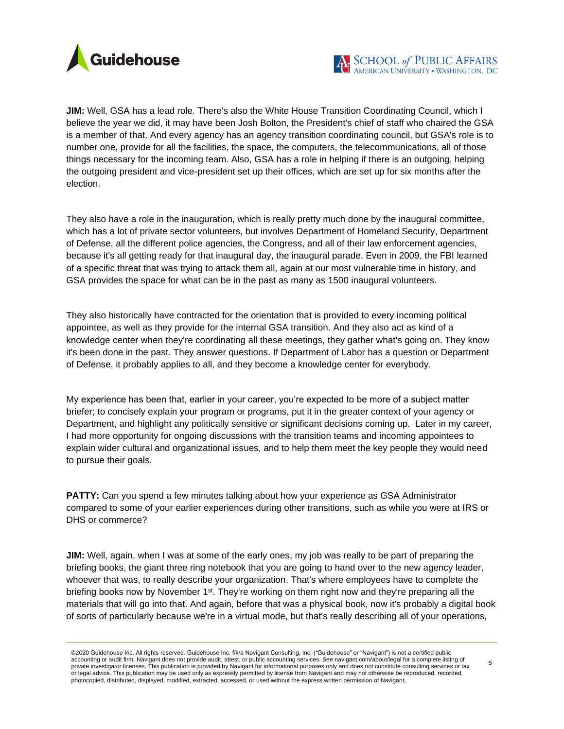

**JIM:** Well, GSA has a lead role. There's also the White House Transition Coordinating Council, which I believe the year we did, it may have been Josh Bolton, the President's chief of staff who chaired the GSA is a member of that. And every agency has an agency transition coordinating council, but GSA's role is to number one, provide for all the facilities, the space, the computers, the telecommunications, all of those things necessary for the incoming team. Also, GSA has a role in helping if there is an outgoing, helping the outgoing president and vice-president set up their offices, which are set up for six months after the election.

They also have a role in the inauguration, which is really pretty much done by the inaugural committee, which has a lot of private sector volunteers, but involves Department of Homeland Security, Department of Defense, all the different police agencies, the Congress, and all of their law enforcement agencies, because it's all getting ready for that inaugural day, the inaugural parade. Even in 2009, the FBI learned of a specific threat that was trying to attack them all, again at our most vulnerable time in history, and GSA provides the space for what can be in the past as many as 1500 inaugural volunteers.

They also historically have contracted for the orientation that is provided to every incoming political appointee, as well as they provide for the internal GSA transition. And they also act as kind of a knowledge center when they're coordinating all these meetings, they gather what's going on. They know it's been done in the past. They answer questions. If Department of Labor has a question or Department of Defense, it probably applies to all, and they become a knowledge center for everybody.

My experience has been that, earlier in your career, you're expected to be more of a subject matter briefer; to concisely explain your program or programs, put it in the greater context of your agency or Department, and highlight any politically sensitive or significant decisions coming up. Later in my career, I had more opportunity for ongoing discussions with the transition teams and incoming appointees to explain wider cultural and organizational issues, and to help them meet the key people they would need to pursue their goals.

**PATTY:** Can you spend a few minutes talking about how your experience as GSA Administrator compared to some of your earlier experiences during other transitions, such as while you were at IRS or DHS or commerce?

**JIM:** Well, again, when I was at some of the early ones, my job was really to be part of preparing the briefing books, the giant three ring notebook that you are going to hand over to the new agency leader, whoever that was, to really describe your organization. That's where employees have to complete the briefing books now by November 1<sup>st</sup>. They're working on them right now and they're preparing all the materials that will go into that. And again, before that was a physical book, now it's probably a digital book of sorts of particularly because we're in a virtual mode, but that's really describing all of your operations,

<sup>©2020</sup> Guidehouse Inc. All rights reserved. Guidehouse Inc. f/k/a Navigant Consulting, Inc. ("Guidehouse" or "Navigant") is not a certified public accounting or audit firm. Navigant does not provide audit, attest, or public accounting services. See navigant.com/about/legal for a complete listing of<br>private investigator licenses. This publication is provided by Naviga or legal advice. This publication may be used only as expressly permitted by license from Navigant and may not otherwise be reproduced, recorded, photocopied, distributed, displayed, modified, extracted, accessed, or used without the express written permission of Navigant.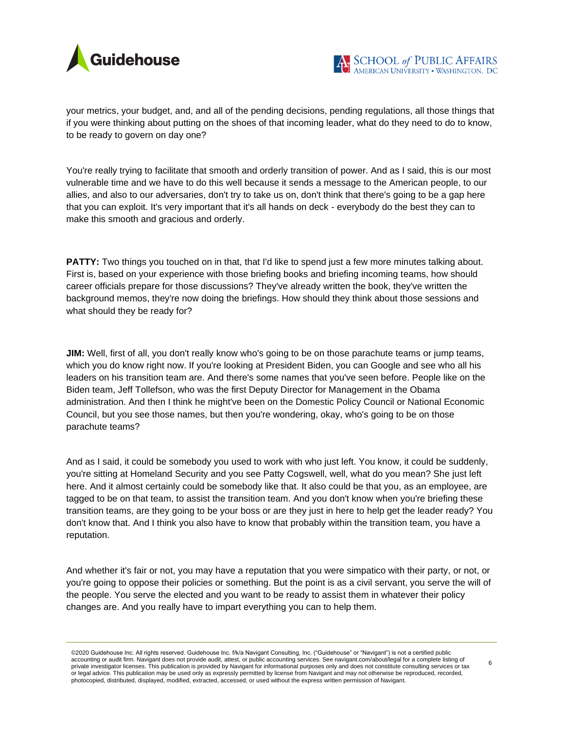

your metrics, your budget, and, and all of the pending decisions, pending regulations, all those things that if you were thinking about putting on the shoes of that incoming leader, what do they need to do to know, to be ready to govern on day one?

You're really trying to facilitate that smooth and orderly transition of power. And as I said, this is our most vulnerable time and we have to do this well because it sends a message to the American people, to our allies, and also to our adversaries, don't try to take us on, don't think that there's going to be a gap here that you can exploit. It's very important that it's all hands on deck - everybody do the best they can to make this smooth and gracious and orderly.

**PATTY:** Two things you touched on in that, that I'd like to spend just a few more minutes talking about. First is, based on your experience with those briefing books and briefing incoming teams, how should career officials prepare for those discussions? They've already written the book, they've written the background memos, they're now doing the briefings. How should they think about those sessions and what should they be ready for?

**JIM:** Well, first of all, you don't really know who's going to be on those parachute teams or jump teams, which you do know right now. If you're looking at President Biden, you can Google and see who all his leaders on his transition team are. And there's some names that you've seen before. People like on the Biden team, Jeff Tollefson, who was the first Deputy Director for Management in the Obama administration. And then I think he might've been on the Domestic Policy Council or National Economic Council, but you see those names, but then you're wondering, okay, who's going to be on those parachute teams?

And as I said, it could be somebody you used to work with who just left. You know, it could be suddenly, you're sitting at Homeland Security and you see Patty Cogswell, well, what do you mean? She just left here. And it almost certainly could be somebody like that. It also could be that you, as an employee, are tagged to be on that team, to assist the transition team. And you don't know when you're briefing these transition teams, are they going to be your boss or are they just in here to help get the leader ready? You don't know that. And I think you also have to know that probably within the transition team, you have a reputation.

And whether it's fair or not, you may have a reputation that you were simpatico with their party, or not, or you're going to oppose their policies or something. But the point is as a civil servant, you serve the will of the people. You serve the elected and you want to be ready to assist them in whatever their policy changes are. And you really have to impart everything you can to help them.

©2020 Guidehouse Inc. All rights reserved. Guidehouse Inc. f/k/a Navigant Consulting, Inc. ("Guidehouse" or "Navigant") is not a certified public accounting or audit firm. Navigant does not provide audit, attest, or public accounting services. See navigant.com/about/legal for a complete listing of<br>private investigator licenses. This publication is provided by Naviga or legal advice. This publication may be used only as expressly permitted by license from Navigant and may not otherwise be reproduced, recorded, photocopied, distributed, displayed, modified, extracted, accessed, or used without the express written permission of Navigant.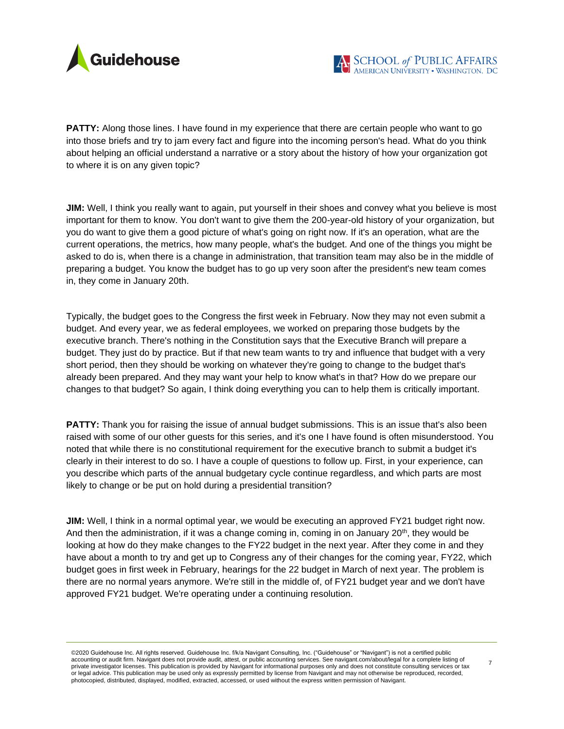

**PATTY:** Along those lines. I have found in my experience that there are certain people who want to go into those briefs and try to jam every fact and figure into the incoming person's head. What do you think about helping an official understand a narrative or a story about the history of how your organization got to where it is on any given topic?

**JIM:** Well, I think you really want to again, put yourself in their shoes and convey what you believe is most important for them to know. You don't want to give them the 200-year-old history of your organization, but you do want to give them a good picture of what's going on right now. If it's an operation, what are the current operations, the metrics, how many people, what's the budget. And one of the things you might be asked to do is, when there is a change in administration, that transition team may also be in the middle of preparing a budget. You know the budget has to go up very soon after the president's new team comes in, they come in January 20th.

Typically, the budget goes to the Congress the first week in February. Now they may not even submit a budget. And every year, we as federal employees, we worked on preparing those budgets by the executive branch. There's nothing in the Constitution says that the Executive Branch will prepare a budget. They just do by practice. But if that new team wants to try and influence that budget with a very short period, then they should be working on whatever they're going to change to the budget that's already been prepared. And they may want your help to know what's in that? How do we prepare our changes to that budget? So again, I think doing everything you can to help them is critically important.

**PATTY:** Thank you for raising the issue of annual budget submissions. This is an issue that's also been raised with some of our other guests for this series, and it's one I have found is often misunderstood. You noted that while there is no constitutional requirement for the executive branch to submit a budget it's clearly in their interest to do so. I have a couple of questions to follow up. First, in your experience, can you describe which parts of the annual budgetary cycle continue regardless, and which parts are most likely to change or be put on hold during a presidential transition?

**JIM:** Well, I think in a normal optimal year, we would be executing an approved FY21 budget right now. And then the administration, if it was a change coming in, coming in on January  $20<sup>th</sup>$ , they would be looking at how do they make changes to the FY22 budget in the next year. After they come in and they have about a month to try and get up to Congress any of their changes for the coming year, FY22, which budget goes in first week in February, hearings for the 22 budget in March of next year. The problem is there are no normal years anymore. We're still in the middle of, of FY21 budget year and we don't have approved FY21 budget. We're operating under a continuing resolution.

©2020 Guidehouse Inc. All rights reserved. Guidehouse Inc. f/k/a Navigant Consulting, Inc. ("Guidehouse" or "Navigant") is not a certified public accounting or audit firm. Navigant does not provide audit, attest, or public accounting services. See navigant.com/about/legal for a complete listing of<br>private investigator licenses. This publication is provided by Naviga or legal advice. This publication may be used only as expressly permitted by license from Navigant and may not otherwise be reproduced, recorded, photocopied, distributed, displayed, modified, extracted, accessed, or used without the express written permission of Navigant.

<sup>7</sup>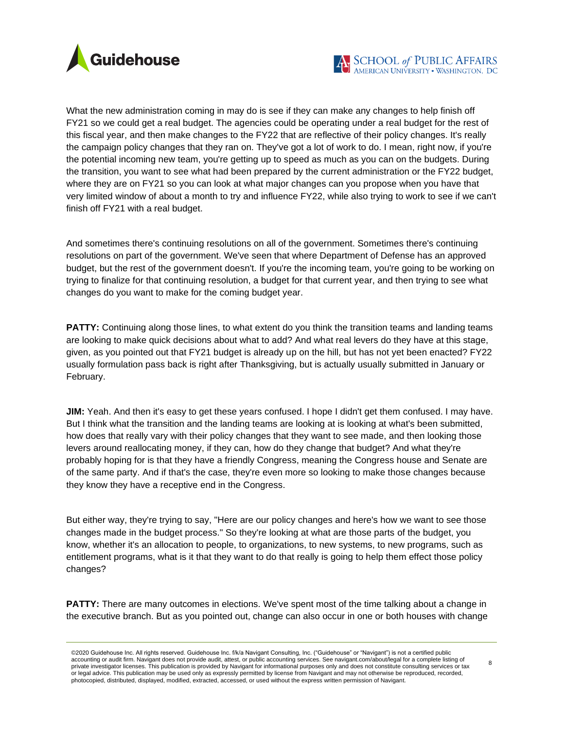

What the new administration coming in may do is see if they can make any changes to help finish off FY21 so we could get a real budget. The agencies could be operating under a real budget for the rest of this fiscal year, and then make changes to the FY22 that are reflective of their policy changes. It's really the campaign policy changes that they ran on. They've got a lot of work to do. I mean, right now, if you're the potential incoming new team, you're getting up to speed as much as you can on the budgets. During the transition, you want to see what had been prepared by the current administration or the FY22 budget, where they are on FY21 so you can look at what major changes can you propose when you have that very limited window of about a month to try and influence FY22, while also trying to work to see if we can't finish off FY21 with a real budget.

And sometimes there's continuing resolutions on all of the government. Sometimes there's continuing resolutions on part of the government. We've seen that where Department of Defense has an approved budget, but the rest of the government doesn't. If you're the incoming team, you're going to be working on trying to finalize for that continuing resolution, a budget for that current year, and then trying to see what changes do you want to make for the coming budget year.

**PATTY:** Continuing along those lines, to what extent do you think the transition teams and landing teams are looking to make quick decisions about what to add? And what real levers do they have at this stage, given, as you pointed out that FY21 budget is already up on the hill, but has not yet been enacted? FY22 usually formulation pass back is right after Thanksgiving, but is actually usually submitted in January or February.

**JIM:** Yeah. And then it's easy to get these years confused. I hope I didn't get them confused. I may have. But I think what the transition and the landing teams are looking at is looking at what's been submitted, how does that really vary with their policy changes that they want to see made, and then looking those levers around reallocating money, if they can, how do they change that budget? And what they're probably hoping for is that they have a friendly Congress, meaning the Congress house and Senate are of the same party. And if that's the case, they're even more so looking to make those changes because they know they have a receptive end in the Congress.

But either way, they're trying to say, "Here are our policy changes and here's how we want to see those changes made in the budget process." So they're looking at what are those parts of the budget, you know, whether it's an allocation to people, to organizations, to new systems, to new programs, such as entitlement programs, what is it that they want to do that really is going to help them effect those policy changes?

**PATTY:** There are many outcomes in elections. We've spent most of the time talking about a change in the executive branch. But as you pointed out, change can also occur in one or both houses with change

<sup>©2020</sup> Guidehouse Inc. All rights reserved. Guidehouse Inc. f/k/a Navigant Consulting, Inc. ("Guidehouse" or "Navigant") is not a certified public accounting or audit firm. Navigant does not provide audit, attest, or public accounting services. See navigant.com/about/legal for a complete listing of<br>private investigator licenses. This publication is provided by Naviga or legal advice. This publication may be used only as expressly permitted by license from Navigant and may not otherwise be reproduced, recorded, photocopied, distributed, displayed, modified, extracted, accessed, or used without the express written permission of Navigant.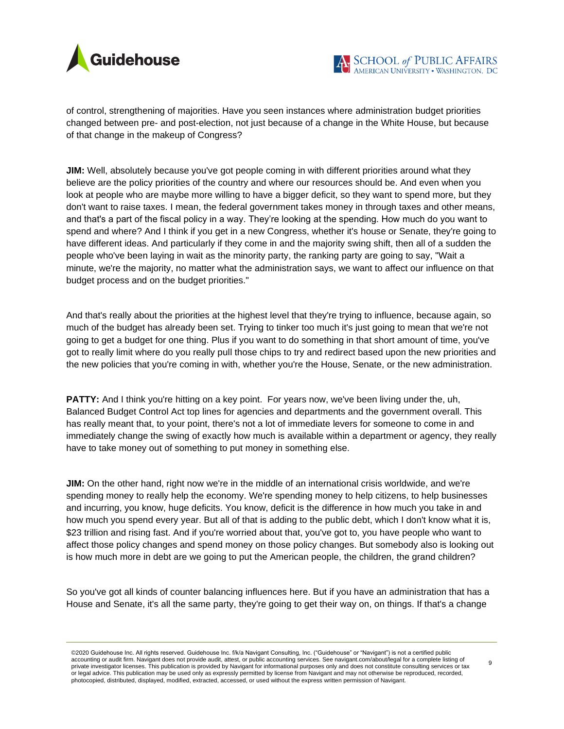

of control, strengthening of majorities. Have you seen instances where administration budget priorities changed between pre- and post-election, not just because of a change in the White House, but because of that change in the makeup of Congress?

**JIM:** Well, absolutely because you've got people coming in with different priorities around what they believe are the policy priorities of the country and where our resources should be. And even when you look at people who are maybe more willing to have a bigger deficit, so they want to spend more, but they don't want to raise taxes. I mean, the federal government takes money in through taxes and other means, and that's a part of the fiscal policy in a way. They're looking at the spending. How much do you want to spend and where? And I think if you get in a new Congress, whether it's house or Senate, they're going to have different ideas. And particularly if they come in and the majority swing shift, then all of a sudden the people who've been laying in wait as the minority party, the ranking party are going to say, "Wait a minute, we're the majority, no matter what the administration says, we want to affect our influence on that budget process and on the budget priorities."

And that's really about the priorities at the highest level that they're trying to influence, because again, so much of the budget has already been set. Trying to tinker too much it's just going to mean that we're not going to get a budget for one thing. Plus if you want to do something in that short amount of time, you've got to really limit where do you really pull those chips to try and redirect based upon the new priorities and the new policies that you're coming in with, whether you're the House, Senate, or the new administration.

**PATTY:** And I think you're hitting on a key point. For years now, we've been living under the, uh, Balanced Budget Control Act top lines for agencies and departments and the government overall. This has really meant that, to your point, there's not a lot of immediate levers for someone to come in and immediately change the swing of exactly how much is available within a department or agency, they really have to take money out of something to put money in something else.

**JIM:** On the other hand, right now we're in the middle of an international crisis worldwide, and we're spending money to really help the economy. We're spending money to help citizens, to help businesses and incurring, you know, huge deficits. You know, deficit is the difference in how much you take in and how much you spend every year. But all of that is adding to the public debt, which I don't know what it is, \$23 trillion and rising fast. And if you're worried about that, you've got to, you have people who want to affect those policy changes and spend money on those policy changes. But somebody also is looking out is how much more in debt are we going to put the American people, the children, the grand children?

So you've got all kinds of counter balancing influences here. But if you have an administration that has a House and Senate, it's all the same party, they're going to get their way on, on things. If that's a change

©2020 Guidehouse Inc. All rights reserved. Guidehouse Inc. f/k/a Navigant Consulting, Inc. ("Guidehouse" or "Navigant") is not a certified public accounting or audit firm. Navigant does not provide audit, attest, or public accounting services. See navigant.com/about/legal for a complete listing of<br>private investigator licenses. This publication is provided by Naviga or legal advice. This publication may be used only as expressly permitted by license from Navigant and may not otherwise be reproduced, recorded, photocopied, distributed, displayed, modified, extracted, accessed, or used without the express written permission of Navigant.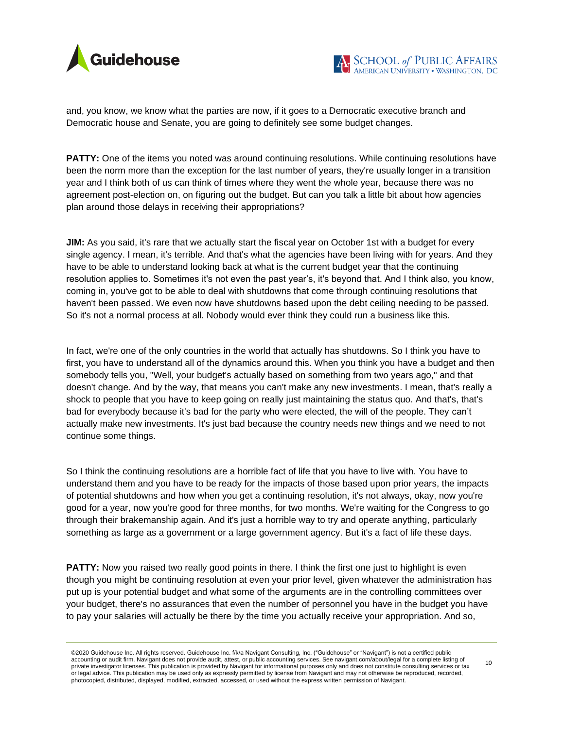



and, you know, we know what the parties are now, if it goes to a Democratic executive branch and Democratic house and Senate, you are going to definitely see some budget changes.

**PATTY:** One of the items you noted was around continuing resolutions. While continuing resolutions have been the norm more than the exception for the last number of years, they're usually longer in a transition year and I think both of us can think of times where they went the whole year, because there was no agreement post-election on, on figuring out the budget. But can you talk a little bit about how agencies plan around those delays in receiving their appropriations?

**JIM:** As you said, it's rare that we actually start the fiscal year on October 1st with a budget for every single agency. I mean, it's terrible. And that's what the agencies have been living with for years. And they have to be able to understand looking back at what is the current budget year that the continuing resolution applies to. Sometimes it's not even the past year's, it's beyond that. And I think also, you know, coming in, you've got to be able to deal with shutdowns that come through continuing resolutions that haven't been passed. We even now have shutdowns based upon the debt ceiling needing to be passed. So it's not a normal process at all. Nobody would ever think they could run a business like this.

In fact, we're one of the only countries in the world that actually has shutdowns. So I think you have to first, you have to understand all of the dynamics around this. When you think you have a budget and then somebody tells you, "Well, your budget's actually based on something from two years ago," and that doesn't change. And by the way, that means you can't make any new investments. I mean, that's really a shock to people that you have to keep going on really just maintaining the status quo. And that's, that's bad for everybody because it's bad for the party who were elected, the will of the people. They can't actually make new investments. It's just bad because the country needs new things and we need to not continue some things.

So I think the continuing resolutions are a horrible fact of life that you have to live with. You have to understand them and you have to be ready for the impacts of those based upon prior years, the impacts of potential shutdowns and how when you get a continuing resolution, it's not always, okay, now you're good for a year, now you're good for three months, for two months. We're waiting for the Congress to go through their brakemanship again. And it's just a horrible way to try and operate anything, particularly something as large as a government or a large government agency. But it's a fact of life these days.

**PATTY:** Now you raised two really good points in there. I think the first one just to highlight is even though you might be continuing resolution at even your prior level, given whatever the administration has put up is your potential budget and what some of the arguments are in the controlling committees over your budget, there's no assurances that even the number of personnel you have in the budget you have to pay your salaries will actually be there by the time you actually receive your appropriation. And so,

<sup>©2020</sup> Guidehouse Inc. All rights reserved. Guidehouse Inc. f/k/a Navigant Consulting, Inc. ("Guidehouse" or "Navigant") is not a certified public accounting or audit firm. Navigant does not provide audit, attest, or public accounting services. See navigant.com/about/legal for a complete listing of<br>private investigator licenses. This publication is provided by Naviga or legal advice. This publication may be used only as expressly permitted by license from Navigant and may not otherwise be reproduced, recorded, photocopied, distributed, displayed, modified, extracted, accessed, or used without the express written permission of Navigant.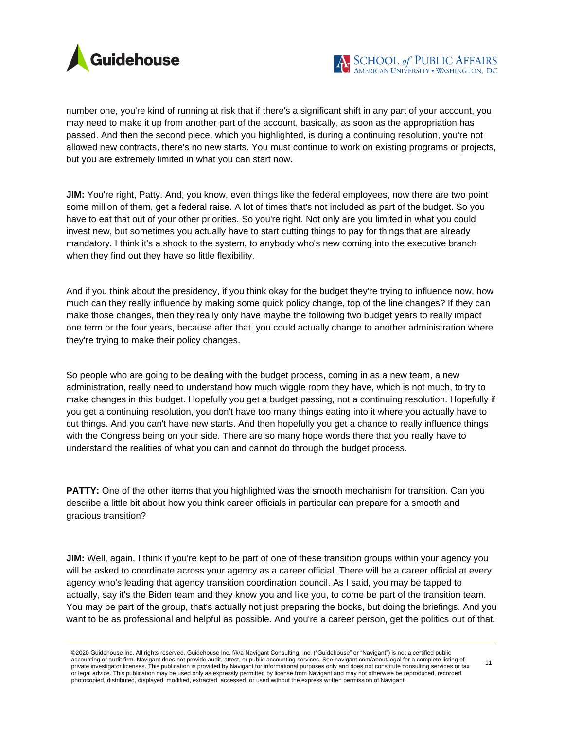

number one, you're kind of running at risk that if there's a significant shift in any part of your account, you may need to make it up from another part of the account, basically, as soon as the appropriation has passed. And then the second piece, which you highlighted, is during a continuing resolution, you're not allowed new contracts, there's no new starts. You must continue to work on existing programs or projects, but you are extremely limited in what you can start now.

**JIM:** You're right, Patty. And, you know, even things like the federal employees, now there are two point some million of them, get a federal raise. A lot of times that's not included as part of the budget. So you have to eat that out of your other priorities. So you're right. Not only are you limited in what you could invest new, but sometimes you actually have to start cutting things to pay for things that are already mandatory. I think it's a shock to the system, to anybody who's new coming into the executive branch when they find out they have so little flexibility.

And if you think about the presidency, if you think okay for the budget they're trying to influence now, how much can they really influence by making some quick policy change, top of the line changes? If they can make those changes, then they really only have maybe the following two budget years to really impact one term or the four years, because after that, you could actually change to another administration where they're trying to make their policy changes.

So people who are going to be dealing with the budget process, coming in as a new team, a new administration, really need to understand how much wiggle room they have, which is not much, to try to make changes in this budget. Hopefully you get a budget passing, not a continuing resolution. Hopefully if you get a continuing resolution, you don't have too many things eating into it where you actually have to cut things. And you can't have new starts. And then hopefully you get a chance to really influence things with the Congress being on your side. There are so many hope words there that you really have to understand the realities of what you can and cannot do through the budget process.

**PATTY:** One of the other items that you highlighted was the smooth mechanism for transition. Can you describe a little bit about how you think career officials in particular can prepare for a smooth and gracious transition?

**JIM:** Well, again, I think if you're kept to be part of one of these transition groups within your agency you will be asked to coordinate across your agency as a career official. There will be a career official at every agency who's leading that agency transition coordination council. As I said, you may be tapped to actually, say it's the Biden team and they know you and like you, to come be part of the transition team. You may be part of the group, that's actually not just preparing the books, but doing the briefings. And you want to be as professional and helpful as possible. And you're a career person, get the politics out of that.

<sup>©2020</sup> Guidehouse Inc. All rights reserved. Guidehouse Inc. f/k/a Navigant Consulting, Inc. ("Guidehouse" or "Navigant") is not a certified public accounting or audit firm. Navigant does not provide audit, attest, or public accounting services. See navigant.com/about/legal for a complete listing of<br>private investigator licenses. This publication is provided by Naviga or legal advice. This publication may be used only as expressly permitted by license from Navigant and may not otherwise be reproduced, recorded, photocopied, distributed, displayed, modified, extracted, accessed, or used without the express written permission of Navigant. 11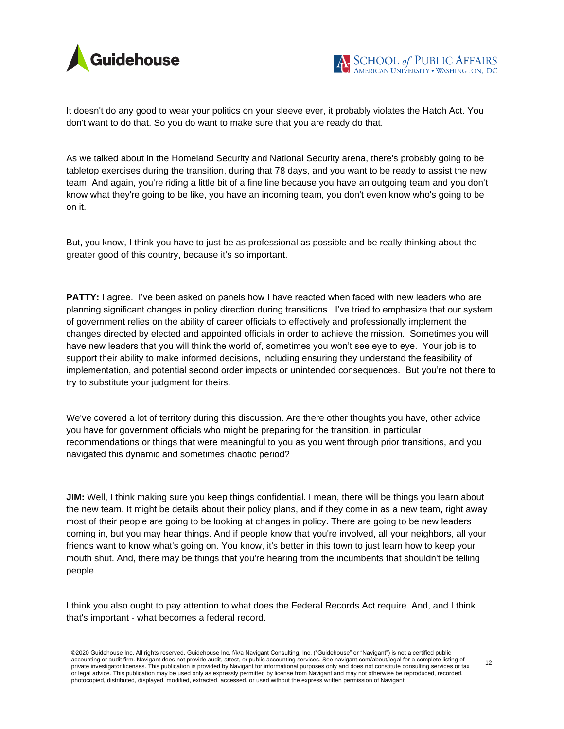

It doesn't do any good to wear your politics on your sleeve ever, it probably violates the Hatch Act. You don't want to do that. So you do want to make sure that you are ready do that.

As we talked about in the Homeland Security and National Security arena, there's probably going to be tabletop exercises during the transition, during that 78 days, and you want to be ready to assist the new team. And again, you're riding a little bit of a fine line because you have an outgoing team and you don't know what they're going to be like, you have an incoming team, you don't even know who's going to be on it.

But, you know, I think you have to just be as professional as possible and be really thinking about the greater good of this country, because it's so important.

**PATTY:** I agree. I've been asked on panels how I have reacted when faced with new leaders who are planning significant changes in policy direction during transitions. I've tried to emphasize that our system of government relies on the ability of career officials to effectively and professionally implement the changes directed by elected and appointed officials in order to achieve the mission. Sometimes you will have new leaders that you will think the world of, sometimes you won't see eye to eye. Your job is to support their ability to make informed decisions, including ensuring they understand the feasibility of implementation, and potential second order impacts or unintended consequences. But you're not there to try to substitute your judgment for theirs.

We've covered a lot of territory during this discussion. Are there other thoughts you have, other advice you have for government officials who might be preparing for the transition, in particular recommendations or things that were meaningful to you as you went through prior transitions, and you navigated this dynamic and sometimes chaotic period?

**JIM:** Well, I think making sure you keep things confidential. I mean, there will be things you learn about the new team. It might be details about their policy plans, and if they come in as a new team, right away most of their people are going to be looking at changes in policy. There are going to be new leaders coming in, but you may hear things. And if people know that you're involved, all your neighbors, all your friends want to know what's going on. You know, it's better in this town to just learn how to keep your mouth shut. And, there may be things that you're hearing from the incumbents that shouldn't be telling people.

I think you also ought to pay attention to what does the Federal Records Act require. And, and I think that's important - what becomes a federal record.

<sup>©2020</sup> Guidehouse Inc. All rights reserved. Guidehouse Inc. f/k/a Navigant Consulting, Inc. ("Guidehouse" or "Navigant") is not a certified public accounting or audit firm. Navigant does not provide audit, attest, or public accounting services. See navigant.com/about/legal for a complete listing of<br>private investigator licenses. This publication is provided by Naviga or legal advice. This publication may be used only as expressly permitted by license from Navigant and may not otherwise be reproduced, recorded, photocopied, distributed, displayed, modified, extracted, accessed, or used without the express written permission of Navigant.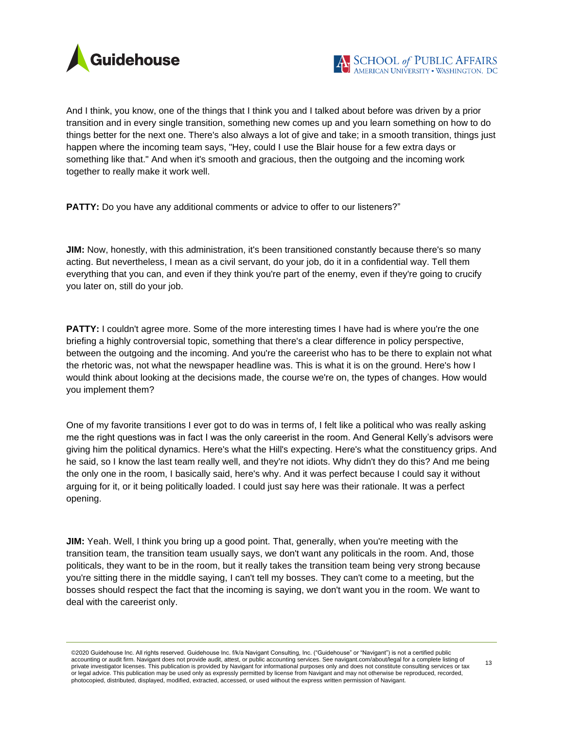

And I think, you know, one of the things that I think you and I talked about before was driven by a prior transition and in every single transition, something new comes up and you learn something on how to do things better for the next one. There's also always a lot of give and take; in a smooth transition, things just happen where the incoming team says, "Hey, could I use the Blair house for a few extra days or something like that." And when it's smooth and gracious, then the outgoing and the incoming work together to really make it work well.

**PATTY:** Do you have any additional comments or advice to offer to our listeners?"

**JIM:** Now, honestly, with this administration, it's been transitioned constantly because there's so many acting. But nevertheless, I mean as a civil servant, do your job, do it in a confidential way. Tell them everything that you can, and even if they think you're part of the enemy, even if they're going to crucify you later on, still do your job.

**PATTY:** I couldn't agree more. Some of the more interesting times I have had is where you're the one briefing a highly controversial topic, something that there's a clear difference in policy perspective, between the outgoing and the incoming. And you're the careerist who has to be there to explain not what the rhetoric was, not what the newspaper headline was. This is what it is on the ground. Here's how I would think about looking at the decisions made, the course we're on, the types of changes. How would you implement them?

One of my favorite transitions I ever got to do was in terms of, I felt like a political who was really asking me the right questions was in fact I was the only careerist in the room. And General Kelly's advisors were giving him the political dynamics. Here's what the Hill's expecting. Here's what the constituency grips. And he said, so I know the last team really well, and they're not idiots. Why didn't they do this? And me being the only one in the room, I basically said, here's why. And it was perfect because I could say it without arguing for it, or it being politically loaded. I could just say here was their rationale. It was a perfect opening.

**JIM:** Yeah. Well, I think you bring up a good point. That, generally, when you're meeting with the transition team, the transition team usually says, we don't want any politicals in the room. And, those politicals, they want to be in the room, but it really takes the transition team being very strong because you're sitting there in the middle saying, I can't tell my bosses. They can't come to a meeting, but the bosses should respect the fact that the incoming is saying, we don't want you in the room. We want to deal with the careerist only.

<sup>©2020</sup> Guidehouse Inc. All rights reserved. Guidehouse Inc. f/k/a Navigant Consulting, Inc. ("Guidehouse" or "Navigant") is not a certified public accounting or audit firm. Navigant does not provide audit, attest, or public accounting services. See navigant.com/about/legal for a complete listing of<br>private investigator licenses. This publication is provided by Naviga or legal advice. This publication may be used only as expressly permitted by license from Navigant and may not otherwise be reproduced, recorded, photocopied, distributed, displayed, modified, extracted, accessed, or used without the express written permission of Navigant.